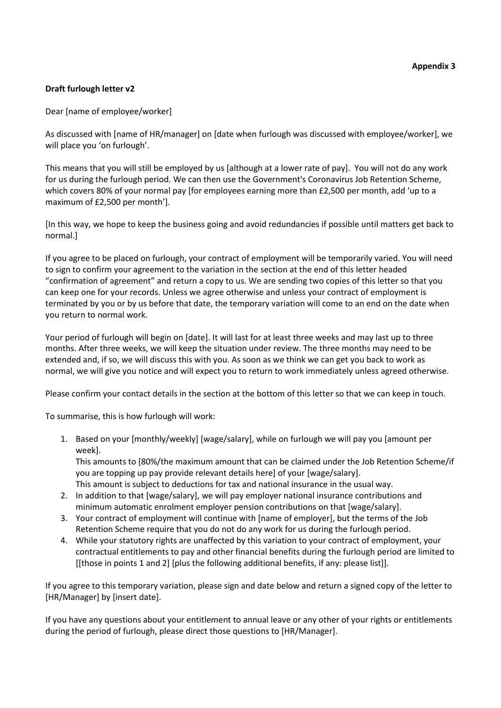## **Draft furlough letter v2**

Dear [name of employee/worker]

As discussed with [name of HR/manager] on [date when furlough was discussed with employee/worker], we will place you 'on furlough'.

This means that you will still be employed by us [although at a lower rate of pay]. You will not do any work for us during the furlough period. We can then use the Government's Coronavirus Job Retention Scheme, which covers 80% of your normal pay [for employees earning more than £2,500 per month, add 'up to a maximum of £2,500 per month'].

[In this way, we hope to keep the business going and avoid redundancies if possible until matters get back to normal.]

If you agree to be placed on furlough, your contract of employment will be temporarily varied. You will need to sign to confirm your agreement to the variation in the section at the end of this letter headed "confirmation of agreement" and return a copy to us. We are sending two copies of this letter so that you can keep one for your records. Unless we agree otherwise and unless your contract of employment is terminated by you or by us before that date, the temporary variation will come to an end on the date when you return to normal work.

Your period of furlough will begin on [date]. It will last for at least three weeks and may last up to three months. After three weeks, we will keep the situation under review. The three months may need to be extended and, if so, we will discuss this with you. As soon as we think we can get you back to work as normal, we will give you notice and will expect you to return to work immediately unless agreed otherwise.

Please confirm your contact details in the section at the bottom of this letter so that we can keep in touch.

To summarise, this is how furlough will work:

1. Based on your [monthly/weekly] [wage/salary], while on furlough we will pay you [amount per week].

This amounts to [80%/the maximum amount that can be claimed under the Job Retention Scheme/if you are topping up pay provide relevant details here] of your [wage/salary]. This amount is subject to deductions for tax and national insurance in the usual way.

- 2. In addition to that [wage/salary], we will pay employer national insurance contributions and minimum automatic enrolment employer pension contributions on that [wage/salary].
- 3. Your contract of employment will continue with [name of employer], but the terms of the Job Retention Scheme require that you do not do any work for us during the furlough period.
- 4. While your statutory rights are unaffected by this variation to your contract of employment, your contractual entitlements to pay and other financial benefits during the furlough period are limited to [[those in points 1 and 2] [plus the following additional benefits, if any: please list]].

If you agree to this temporary variation, please sign and date below and return a signed copy of the letter to [HR/Manager] by [insert date].

If you have any questions about your entitlement to annual leave or any other of your rights or entitlements during the period of furlough, please direct those questions to [HR/Manager].